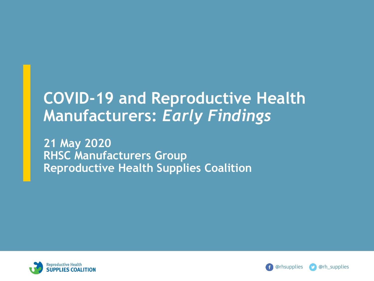## **COVID-19 and Reproductive Health Manufacturers:** *Early Findings*

**21 May 2020 RHSC Manufacturers Group Reproductive Health Supplies Coalition** 



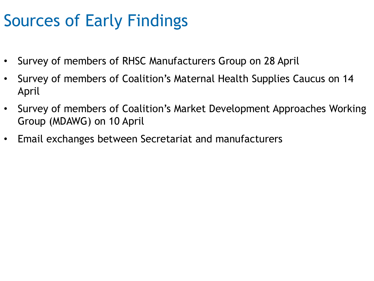# Sources of Early Findings

- Survey of members of RHSC Manufacturers Group on 28 April
- Survey of members of Coalition's Maternal Health Supplies Caucus on 14 April
- Survey of members of Coalition's Market Development Approaches Working Group (MDAWG) on 10 April
- Email exchanges between Secretariat and manufacturers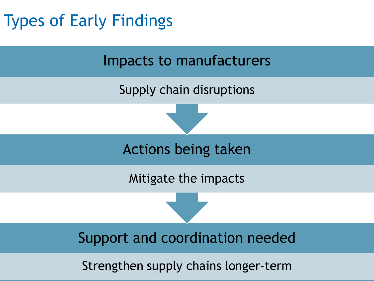# Types of Early Findings

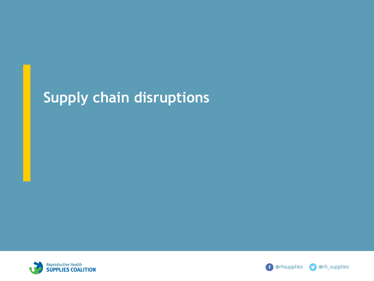## **Supply chain disruptions**



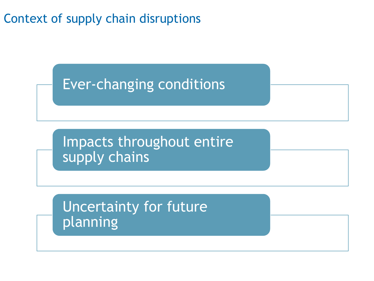Context of supply chain disruptions

## Ever-changing conditions

Impacts throughout entire supply chains

Uncertainty for future planning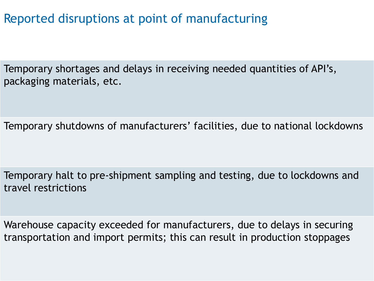Reported disruptions at point of manufacturing

Temporary shortages and delays in receiving needed quantities of API's, packaging materials, etc.

Temporary shutdowns of manufacturers' facilities, due to national lockdowns

Temporary halt to pre-shipment sampling and testing, due to lockdowns and travel restrictions

Warehouse capacity exceeded for manufacturers, due to delays in securing transportation and import permits; this can result in production stoppages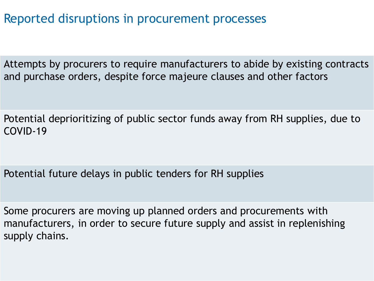Reported disruptions in procurement processes

Attempts by procurers to require manufacturers to abide by existing contracts and purchase orders, despite force majeure clauses and other factors

Potential deprioritizing of public sector funds away from RH supplies, due to COVID-19

Potential future delays in public tenders for RH supplies

Some procurers are moving up planned orders and procurements with manufacturers, in order to secure future supply and assist in replenishing supply chains.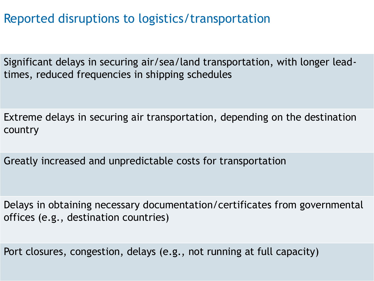Reported disruptions to logistics/transportation

Significant delays in securing air/sea/land transportation, with longer leadtimes, reduced frequencies in shipping schedules

Extreme delays in securing air transportation, depending on the destination country

Greatly increased and unpredictable costs for transportation

Delays in obtaining necessary documentation/certificates from governmental offices (e.g., destination countries)

Port closures, congestion, delays (e.g., not running at full capacity)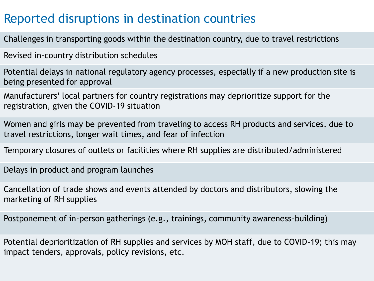### Reported disruptions in destination countries

Challenges in transporting goods within the destination country, due to travel restrictions

Revised in-country distribution schedules

Potential delays in national regulatory agency processes, especially if a new production site is being presented for approval

Manufacturers' local partners for country registrations may deprioritize support for the registration, given the COVID-19 situation

Women and girls may be prevented from traveling to access RH products and services, due to travel restrictions, longer wait times, and fear of infection

Temporary closures of outlets or facilities where RH supplies are distributed/administered

Delays in product and program launches

Cancellation of trade shows and events attended by doctors and distributors, slowing the marketing of RH supplies

Postponement of in-person gatherings (e.g., trainings, community awareness-building)

Potential deprioritization of RH supplies and services by MOH staff, due to COVID-19; this may impact tenders, approvals, policy revisions, etc.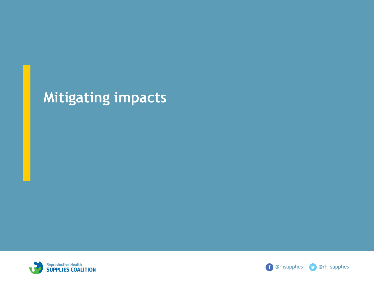## **Mitigating impacts**



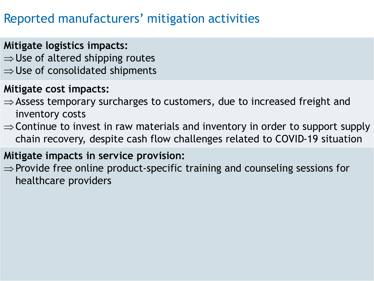### Reported manufacturers' mitigation activities

#### **Mitigate logistics impacts:**

- $\Rightarrow$  Use of altered shipping routes
- $\Rightarrow$  Use of consolidated shipments

#### **Mitigate cost impacts:**

- $\Rightarrow$  Assess temporary surcharges to customers, due to increased freight and inventory costs
- $\Rightarrow$  Continue to invest in raw materials and inventory in order to support supply chain recovery, despite cash flow challenges related to COVID-19 situation

#### **Mitigate impacts in service provision:**

 $\Rightarrow$  Provide free online product-specific training and counseling sessions for healthcare providers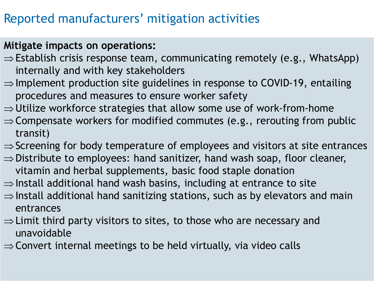### Reported manufacturers' mitigation activities

#### **Mitigate impacts on operations:**

- $\Rightarrow$  Establish crisis response team, communicating remotely (e.g., WhatsApp) internally and with key stakeholders
- $\Rightarrow$  Implement production site guidelines in response to COVID-19, entailing procedures and measures to ensure worker safety
- $\Rightarrow$  Utilize workforce strategies that allow some use of work-from-home
- $\Rightarrow$  Compensate workers for modified commutes (e.g., rerouting from public transit)
- $\Rightarrow$  Screening for body temperature of employees and visitors at site entrances
- $\Rightarrow$  Distribute to employees: hand sanitizer, hand wash soap, floor cleaner, vitamin and herbal supplements, basic food staple donation
- $\Rightarrow$  Install additional hand wash basins, including at entrance to site
- $\Rightarrow$  Install additional hand sanitizing stations, such as by elevators and main entrances
- $\Rightarrow$  Limit third party visitors to sites, to those who are necessary and unavoidable
- $\Rightarrow$  Convert internal meetings to be held virtually, via video calls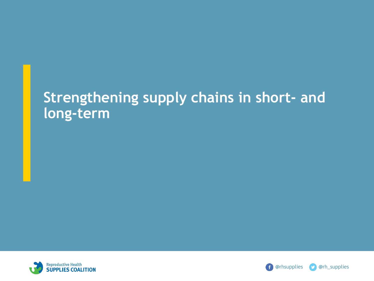### **Strengthening supply chains in short- and long-term**



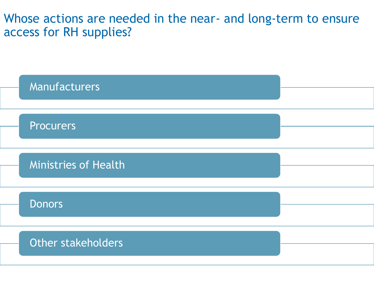Whose actions are needed in the near- and long-term to ensure access for RH supplies?

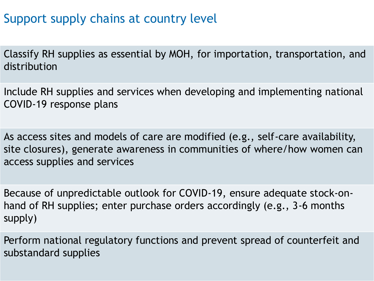### Support supply chains at country level

Classify RH supplies as essential by MOH, for importation, transportation, and distribution

Include RH supplies and services when developing and implementing national COVID-19 response plans

As access sites and models of care are modified (e.g., self-care availability, site closures), generate awareness in communities of where/how women can access supplies and services

Because of unpredictable outlook for COVID-19, ensure adequate stock-onhand of RH supplies; enter purchase orders accordingly (e.g., 3-6 months supply)

Perform national regulatory functions and prevent spread of counterfeit and substandard supplies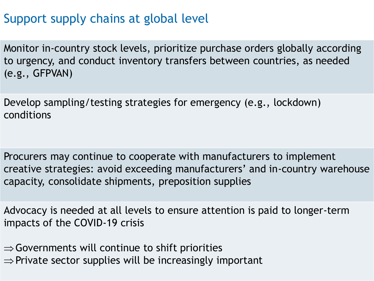### Support supply chains at global level

Monitor in-country stock levels, prioritize purchase orders globally according to urgency, and conduct inventory transfers between countries, as needed (e.g., GFPVAN)

Develop sampling/testing strategies for emergency (e.g., lockdown) conditions

Procurers may continue to cooperate with manufacturers to implement creative strategies: avoid exceeding manufacturers' and in-country warehouse capacity, consolidate shipments, preposition supplies

Advocacy is needed at all levels to ensure attention is paid to longer-term impacts of the COVID-19 crisis

 $\Rightarrow$  Governments will continue to shift priorities  $\Rightarrow$  Private sector supplies will be increasingly important